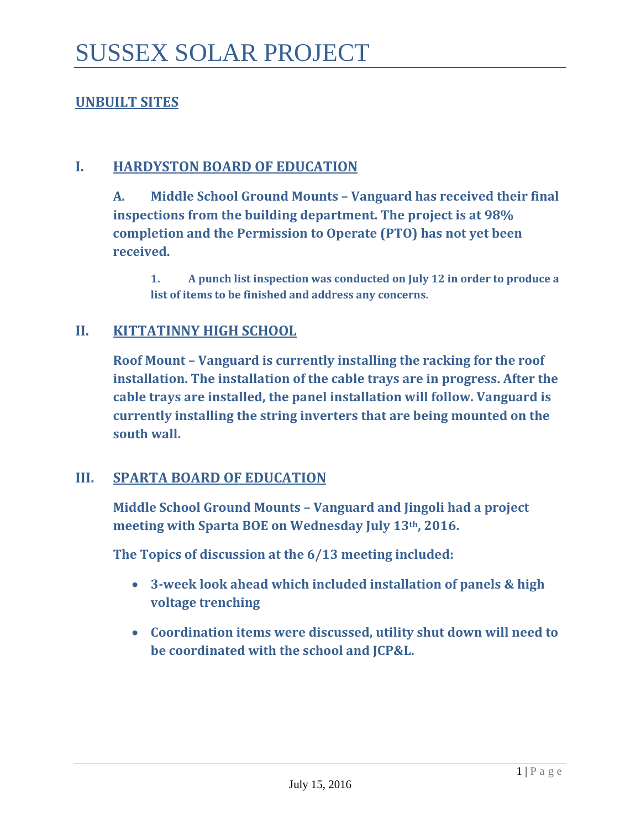## **UNBUILT SITES**

## **I. HARDYSTON BOARD OF EDUCATION**

**A. Middle School Ground Mounts – Vanguard has received their final inspections from the building department. The project is at 98% completion and the Permission to Operate (PTO) has not yet been received.** 

**1. A punch list inspection was conducted on July 12 in order to produce a list of items to be finished and address any concerns.**

## **II. KITTATINNY HIGH SCHOOL**

**Roof Mount – Vanguard is currently installing the racking for the roof installation. The installation of the cable trays are in progress. After the cable trays are installed, the panel installation will follow. Vanguard is currently installing the string inverters that are being mounted on the south wall.** 

#### **III. SPARTA BOARD OF EDUCATION**

**Middle School Ground Mounts – Vanguard and Jingoli had a project meeting with Sparta BOE on Wednesday July 13th, 2016.**

**The Topics of discussion at the 6/13 meeting included:** 

- **3-week look ahead which included installation of panels & high voltage trenching**
- **Coordination items were discussed, utility shut down will need to be coordinated with the school and JCP&L.**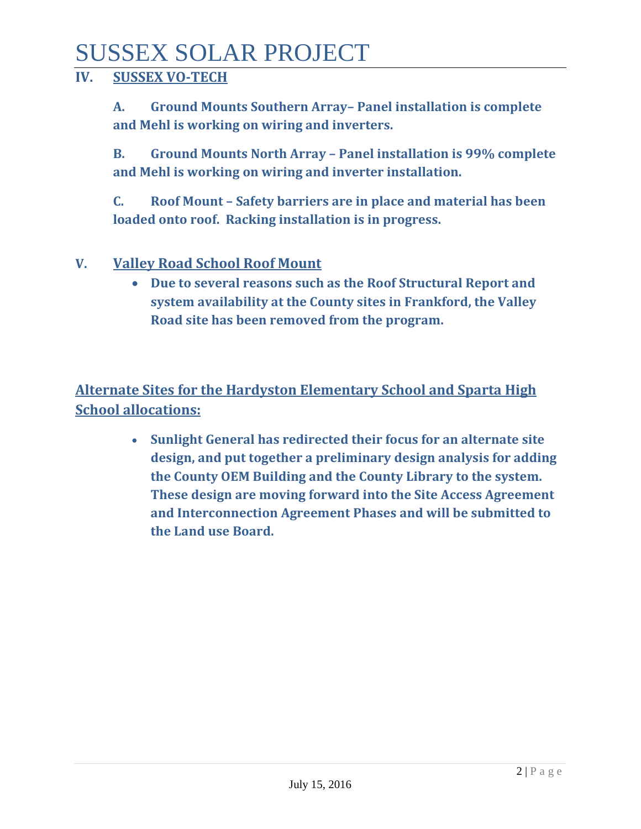# SUSSEX SOLAR PROJECT

## **IV. SUSSEX VO-TECH**

**A. Ground Mounts Southern Array– Panel installation is complete and Mehl is working on wiring and inverters.** 

**B. Ground Mounts North Array – Panel installation is 99% complete and Mehl is working on wiring and inverter installation.** 

**C. Roof Mount – Safety barriers are in place and material has been loaded onto roof. Racking installation is in progress.**

## **V. Valley Road School Roof Mount**

• **Due to several reasons such as the Roof Structural Report and system availability at the County sites in Frankford, the Valley Road site has been removed from the program.**

**Alternate Sites for the Hardyston Elementary School and Sparta High School allocations:**

> • **Sunlight General has redirected their focus for an alternate site design, and put together a preliminary design analysis for adding the County OEM Building and the County Library to the system. These design are moving forward into the Site Access Agreement and Interconnection Agreement Phases and will be submitted to the Land use Board.**